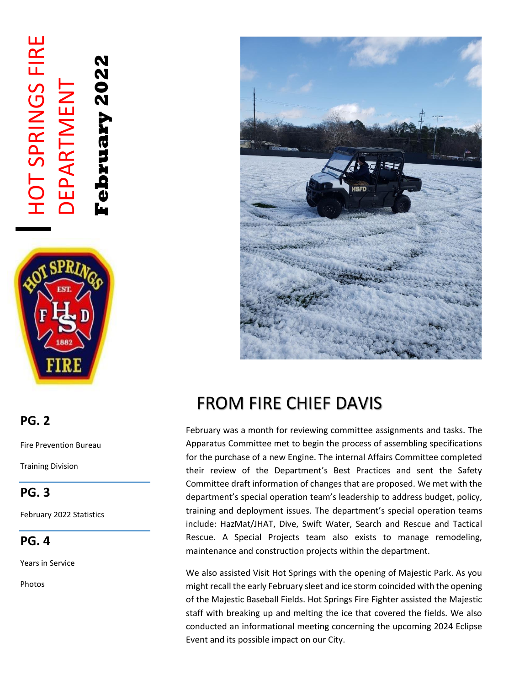# HOT SPRINGS FIRE **HOT SPRINGS FIRE** ebruary 2022 **February 2022** DEPARTMENT **DEPARTMENT**



## FROM FIRE CHIEF DAVIS

February was a month for reviewing committee assignments and tasks. The Apparatus Committee met to begin the process of assembling specifications for the purchase of a new Engine. The internal Affairs Committee completed their review of the Department's Best Practices and sent the Safety Committee draft information of changes that are proposed. We met with the department's special operation team's leadership to address budget, policy, training and deployment issues. The department's special operation teams include: HazMat/JHAT, Dive, Swift Water, Search and Rescue and Tactical Rescue. A Special Projects team also exists to manage remodeling, maintenance and construction projects within the department.

We also assisted Visit Hot Springs with the opening of Majestic Park. As you might recall the early February sleet and ice storm coincided with the opening of the Majestic Baseball Fields. Hot Springs Fire Fighter assisted the Majestic staff with breaking up and melting the ice that covered the fields. We also conducted an informational meeting concerning the upcoming 2024 Eclipse Event and its possible impact on our City.

### **PG. 2**

Fire Prevention Bureau

Training Division

**PG. 3**

February 2022 Statistics

**PG. 4**

Years in Service

Photos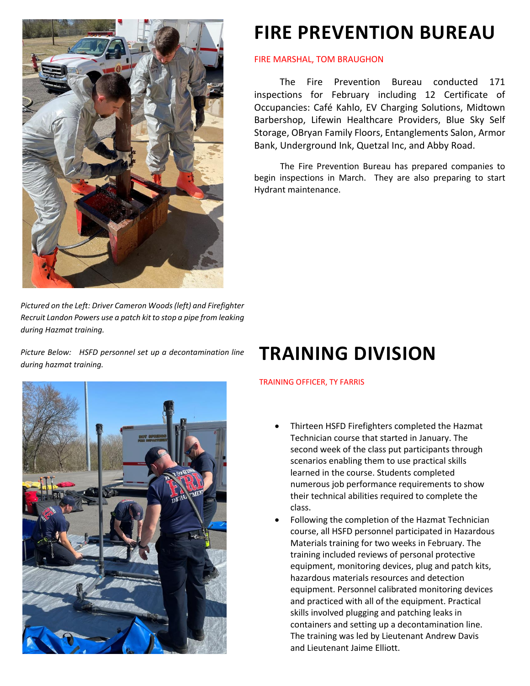

*Pictured on the Left: Driver Cameron Woods (left) and Firefighter Recruit Landon Powers use a patch kit to stop a pipe from leaking during Hazmat training.*

*Picture Below: HSFD personnel set up a decontamination line during hazmat training.*

### **FIRE PREVENTION BUREAU**

#### FIRE MARSHAL, TOM BRAUGHON

The Fire Prevention Bureau conducted 171 inspections for February including 12 Certificate of Occupancies: Café Kahlo, EV Charging Solutions, Midtown Barbershop, Lifewin Healthcare Providers, Blue Sky Self Storage, OBryan Family Floors, Entanglements Salon, Armor Bank, Underground Ink, Quetzal Inc, and Abby Road.

 The Fire Prevention Bureau has prepared companies to begin inspections in March. They are also preparing to start Hydrant maintenance.

### **TRAINING DIVISION**

#### TRAINING OFFICER, TY FARRIS

- Thirteen HSFD Firefighters completed the Hazmat Technician course that started in January. The second week of the class put participants through scenarios enabling them to use practical skills learned in the course. Students completed numerous job performance requirements to show their technical abilities required to complete the class.
- Following the completion of the Hazmat Technician course, all HSFD personnel participated in Hazardous Materials training for two weeks in February. The training included reviews of personal protective equipment, monitoring devices, plug and patch kits, hazardous materials resources and detection equipment. Personnel calibrated monitoring devices and practiced with all of the equipment. Practical skills involved plugging and patching leaks in containers and setting up a decontamination line. The training was led by Lieutenant Andrew Davis and Lieutenant Jaime Elliott.

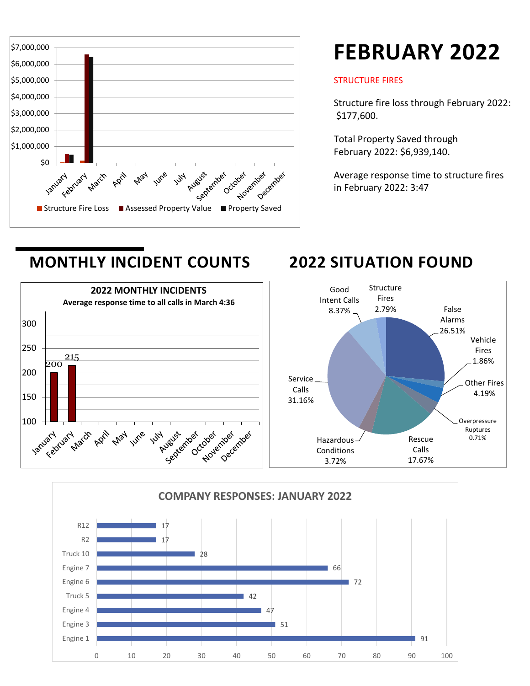

## **FEBRUARY 2022**

#### STRUCTURE FIRES

Structure fire loss through February 2022: \$177,600.

Total Property Saved through February 2022: \$6,939,140.

Average response time to structure fires in February 2022: 3:47

### **MONTHLY INCIDENT COUNTS 2022 SITUATION FOUND**